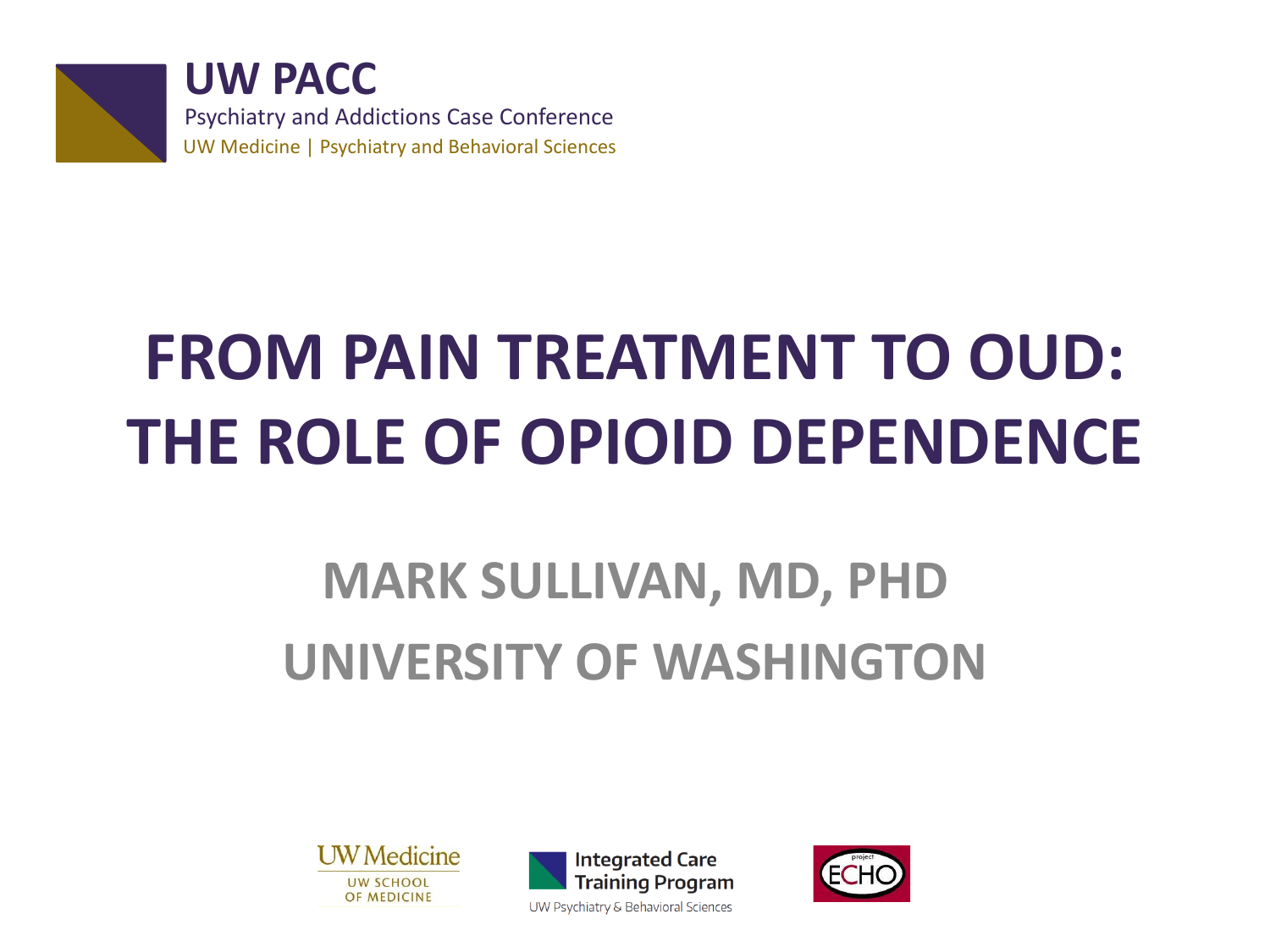

**UW PACC** Psychiatry and Addictions Case Conference UW Medicine | Psychiatry and Behavioral Sciences

# **FROM PAIN TREATMENT TO OUD: THE ROLE OF OPIOID DEPENDENCE**

### **MARK SULLIVAN, MD, PHD UNIVERSITY OF WASHINGTON**





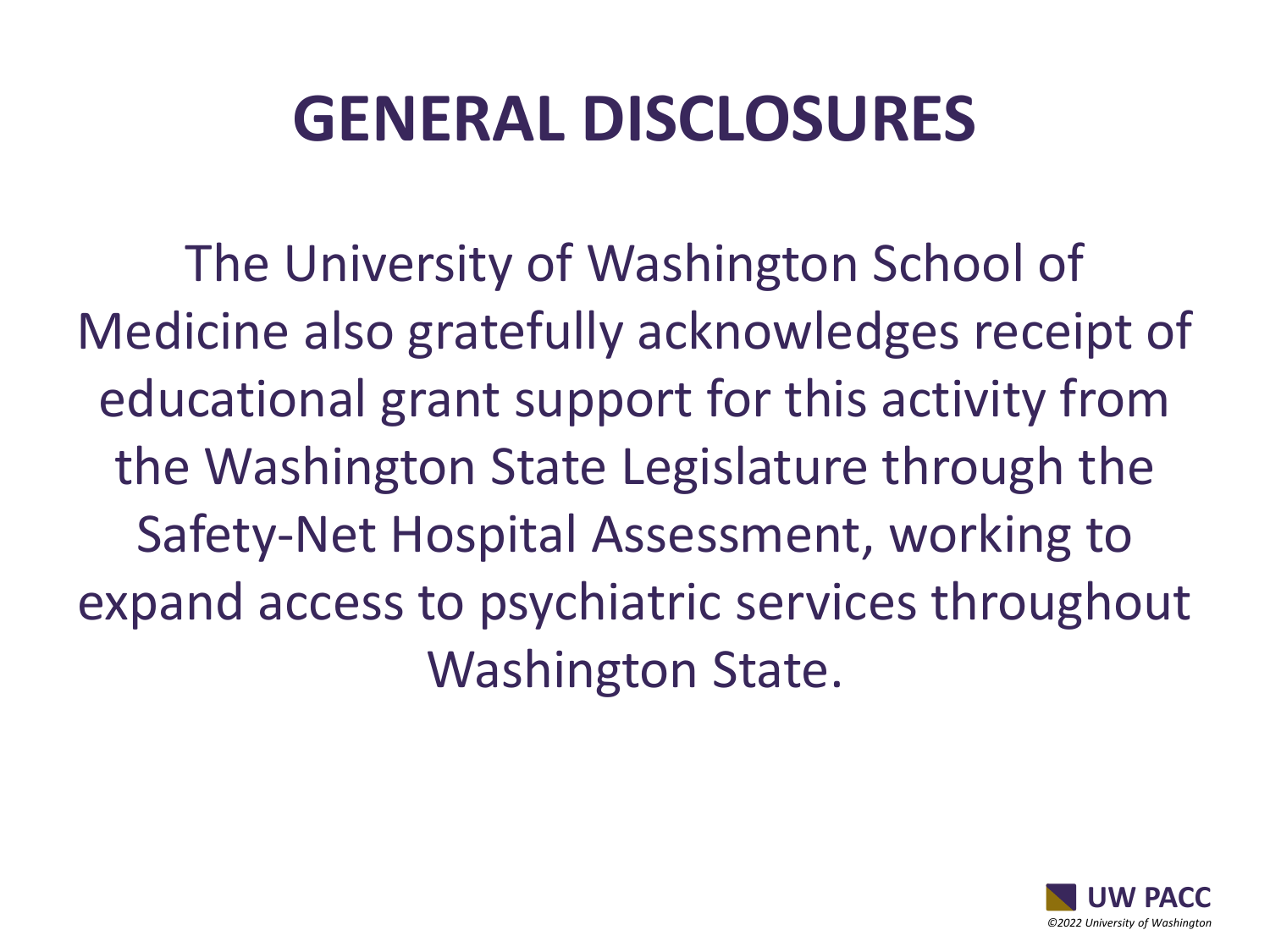### **GENERAL DISCLOSURES**

The University of Washington School of Medicine also gratefully acknowledges receipt of educational grant support for this activity from the Washington State Legislature through the Safety-Net Hospital Assessment, working to expand access to psychiatric services throughout Washington State.

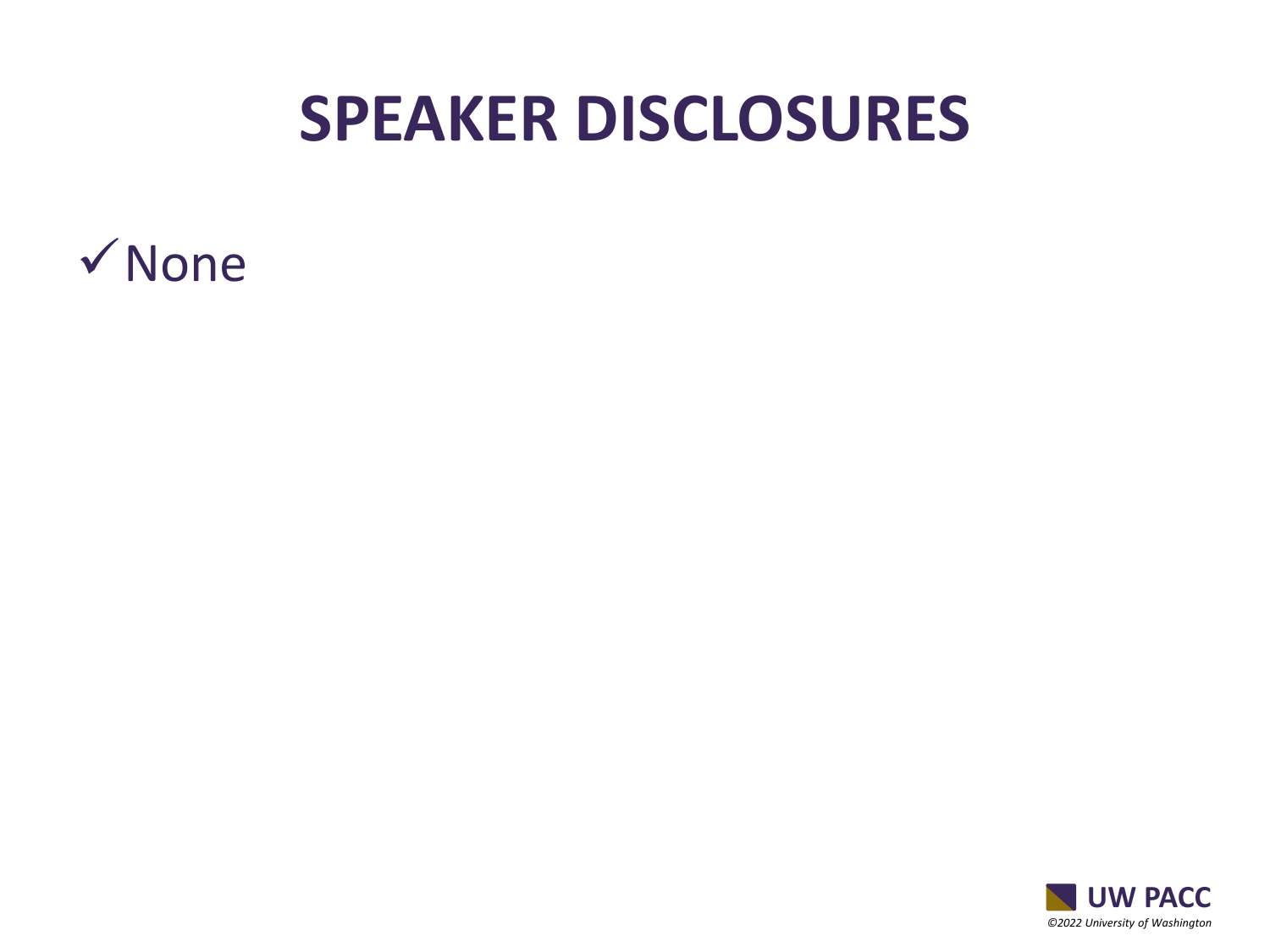### **SPEAKER DISCLOSURES**



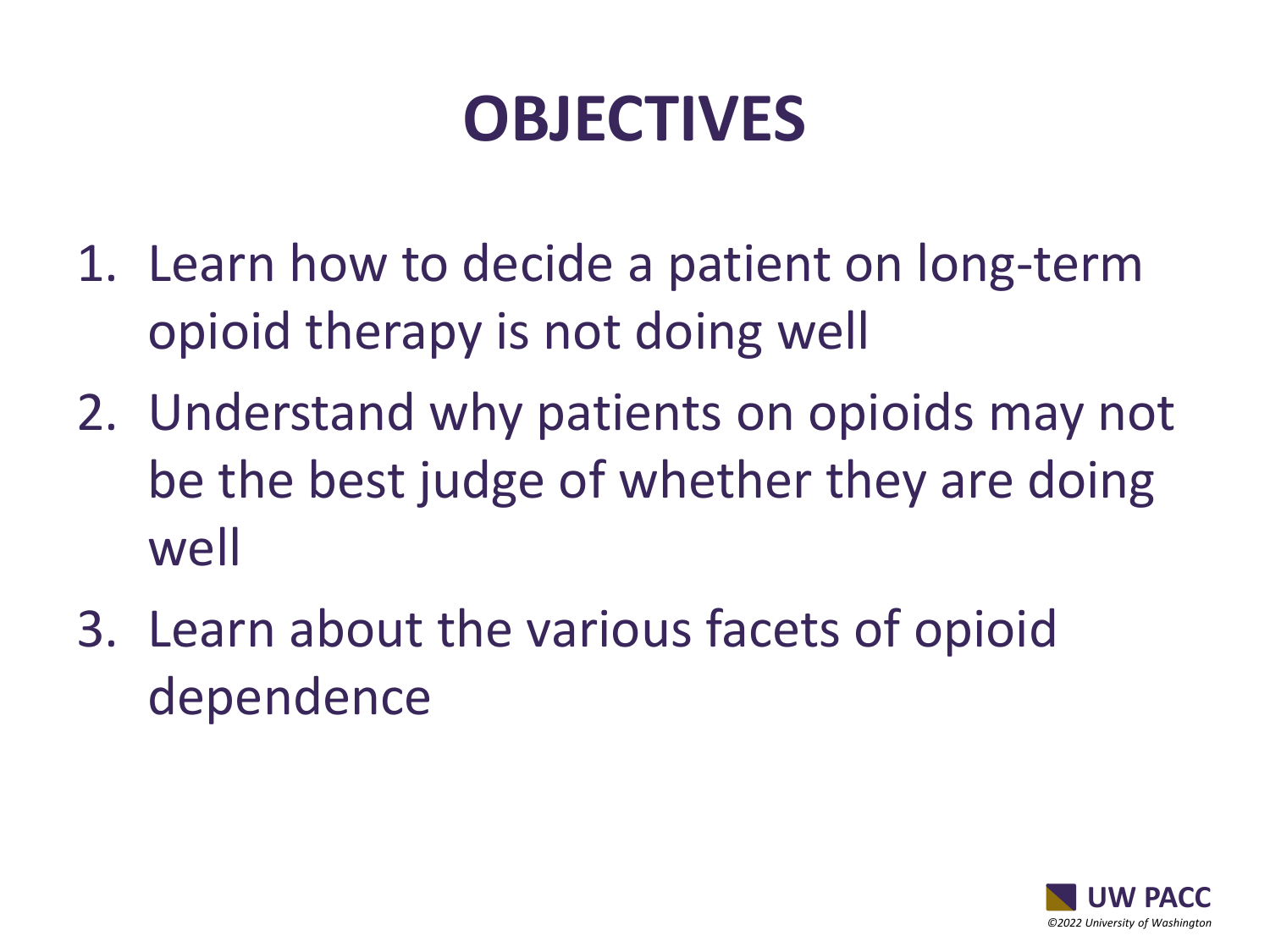### **OBJECTIVES**

- 1. Learn how to decide a patient on long-term opioid therapy is not doing well
- 2. Understand why patients on opioids may not be the best judge of whether they are doing well
- 3. Learn about the various facets of opioid dependence

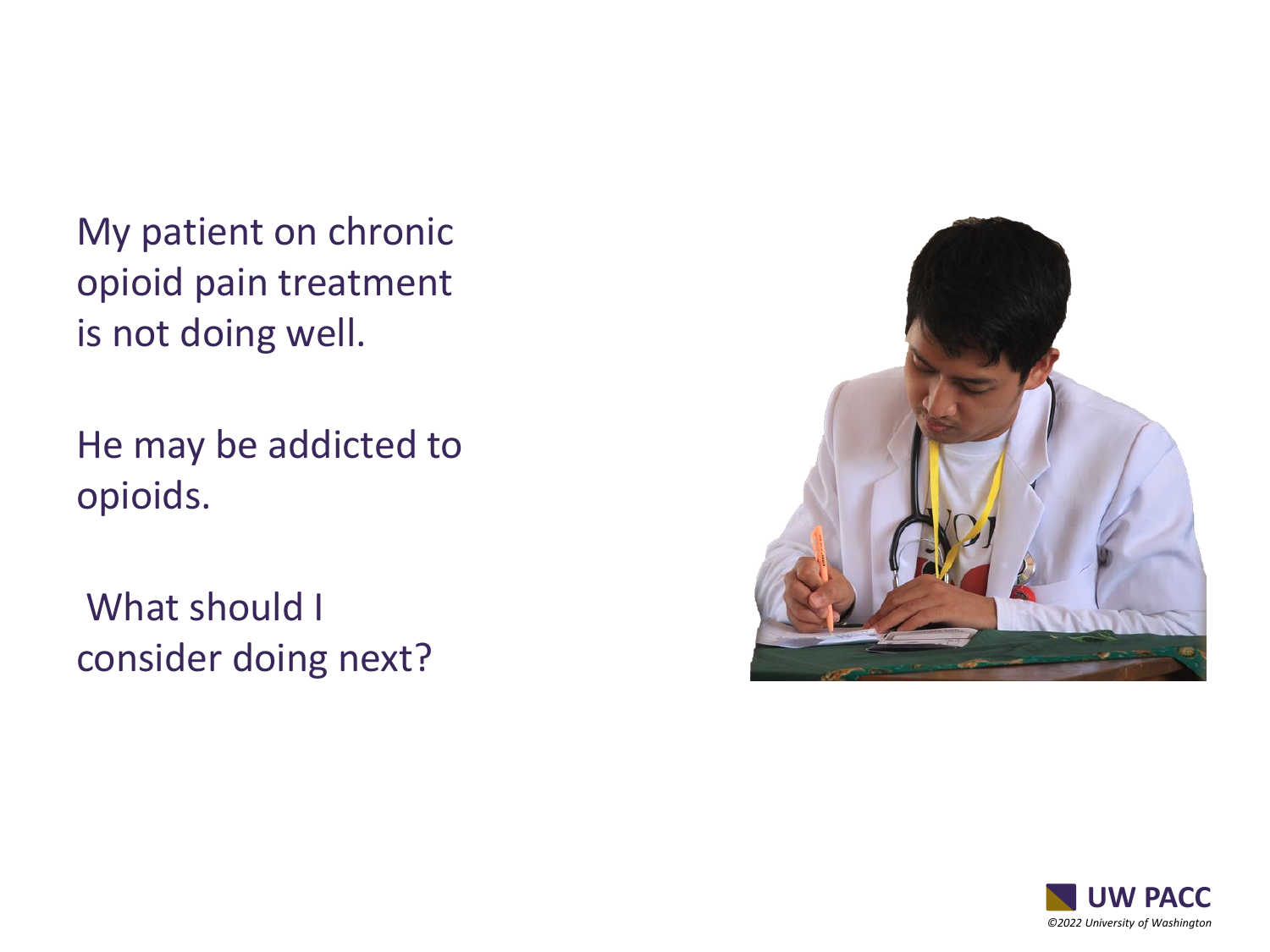My patient on chronic opioid pain treatment is not doing well.

He may be addicted to opioids.

What should I consider doing next?



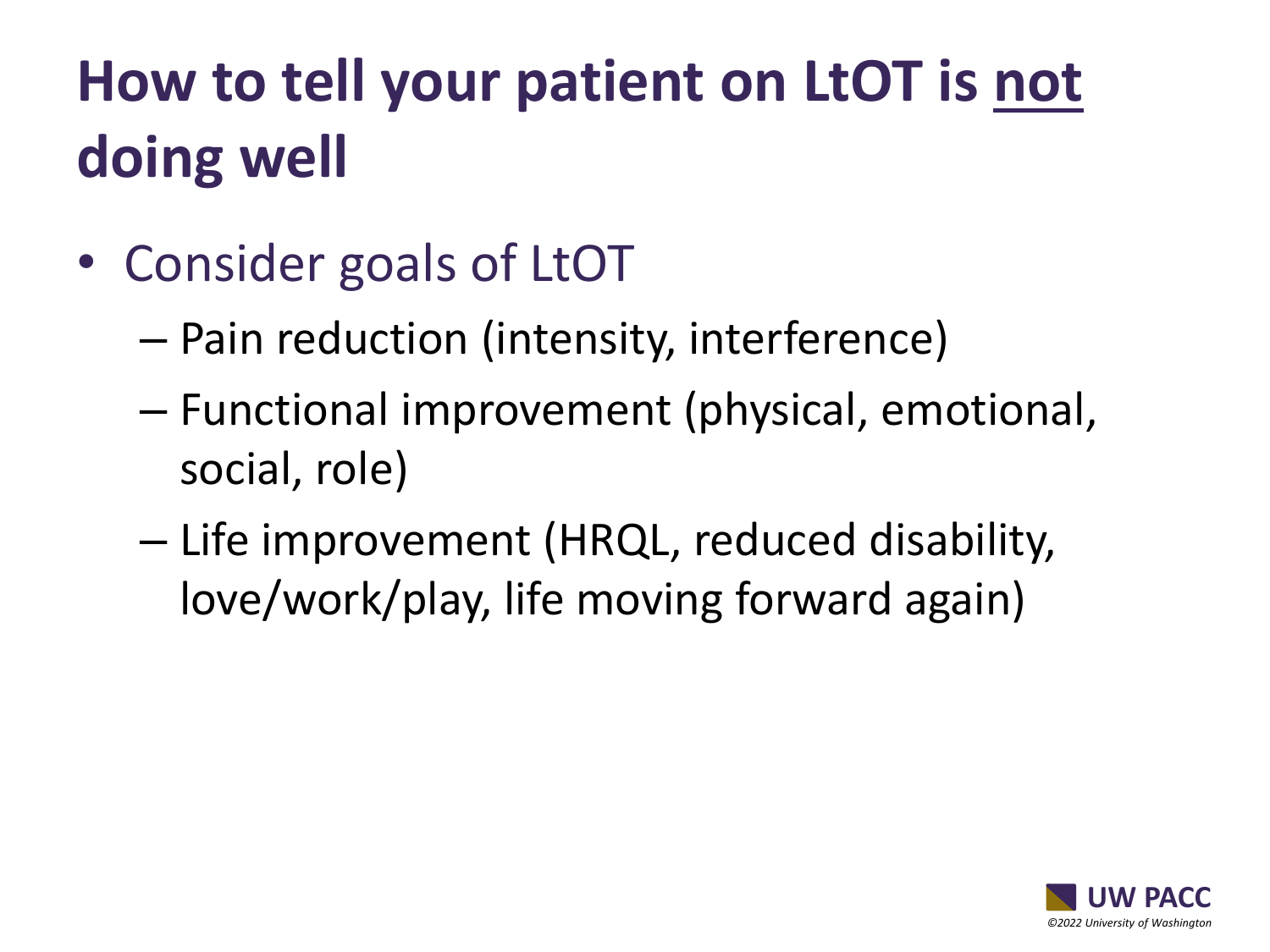### **How to tell your patient on LtOT is not doing well**

- Consider goals of LtOT
	- Pain reduction (intensity, interference)
	- Functional improvement (physical, emotional, social, role)
	- Life improvement (HRQL, reduced disability, love/work/play, life moving forward again)

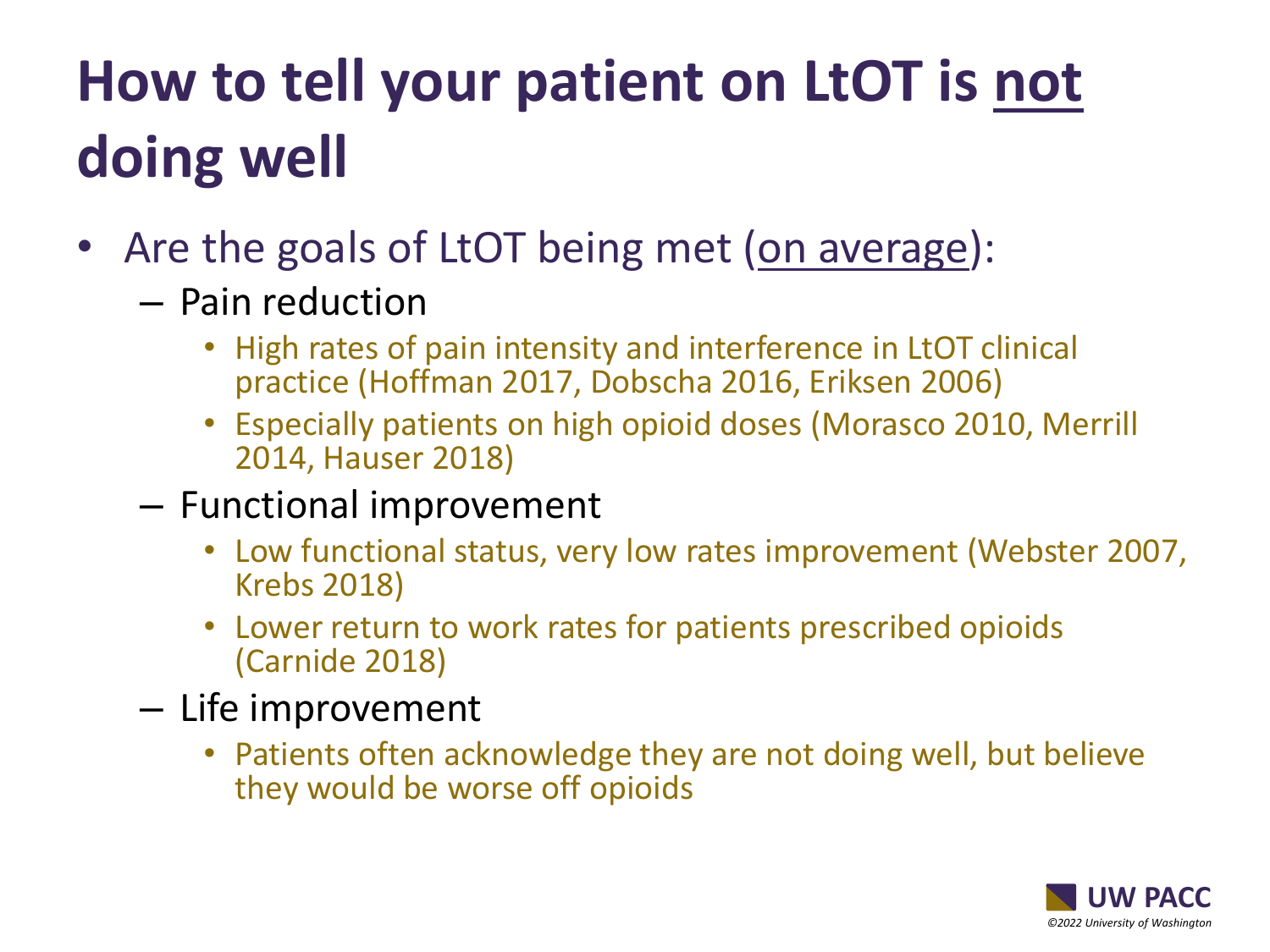### **How to tell your patient on LtOT is not doing well**

- Are the goals of LtOT being met (on average):
	- Pain reduction
		- High rates of pain intensity and interference in LtOT clinical practice (Hoffman 2017, Dobscha 2016, Eriksen 2006)
		- Especially patients on high opioid doses (Morasco 2010, Merrill 2014, Hauser 2018)
	- Functional improvement
		- Low functional status, very low rates improvement (Webster 2007, Krebs 2018)
		- Lower return to work rates for patients prescribed opioids (Carnide 2018)
	- Life improvement
		- Patients often acknowledge they are not doing well, but believe they would be worse off opioids

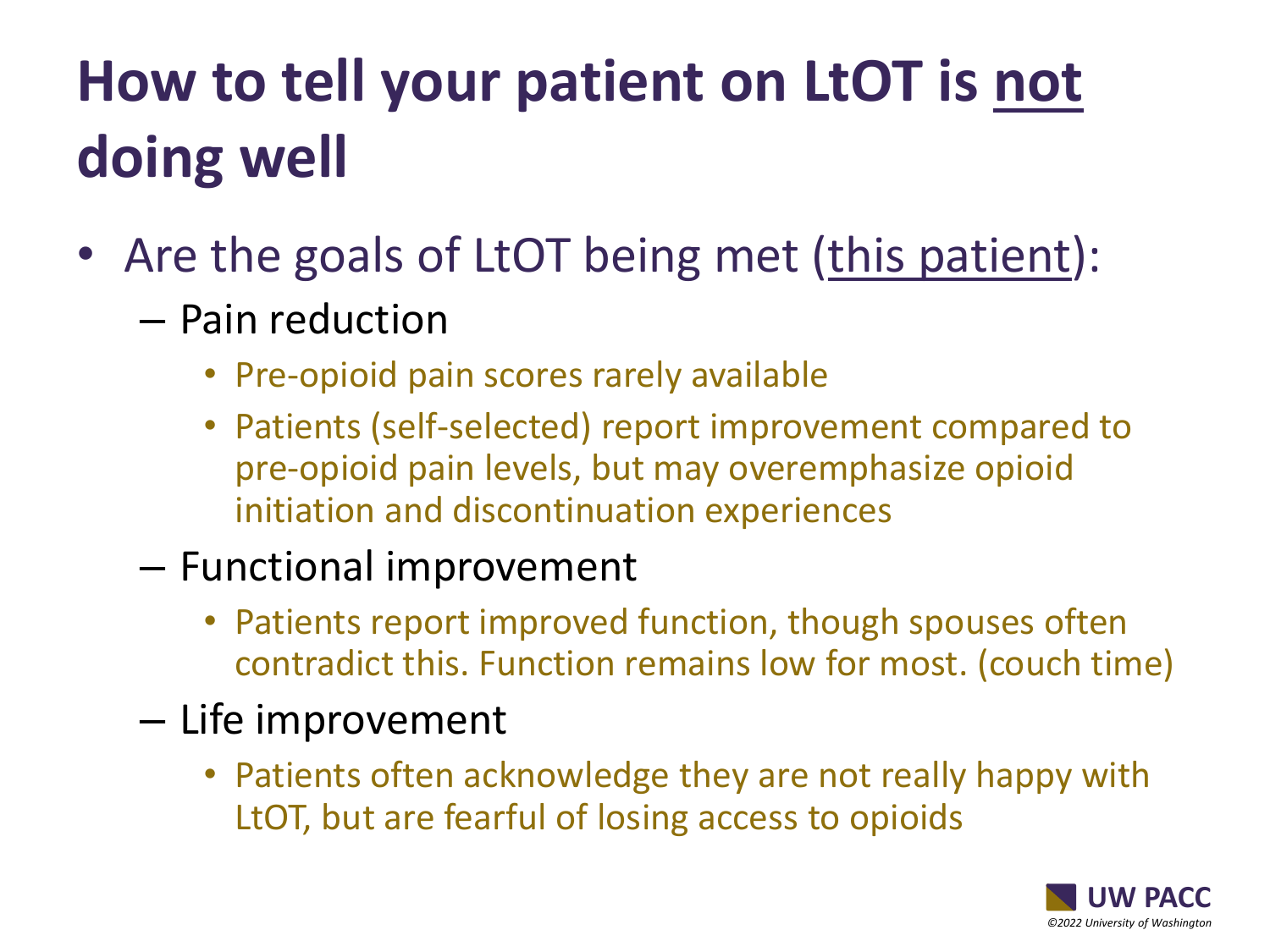### **How to tell your patient on LtOT is not doing well**

- Are the goals of LtOT being met (this patient):
	- Pain reduction
		- Pre-opioid pain scores rarely available
		- Patients (self-selected) report improvement compared to pre-opioid pain levels, but may overemphasize opioid initiation and discontinuation experiences

#### – Functional improvement

- Patients report improved function, though spouses often contradict this. Function remains low for most. (couch time)
- Life improvement
	- Patients often acknowledge they are not really happy with LtOT, but are fearful of losing access to opioids

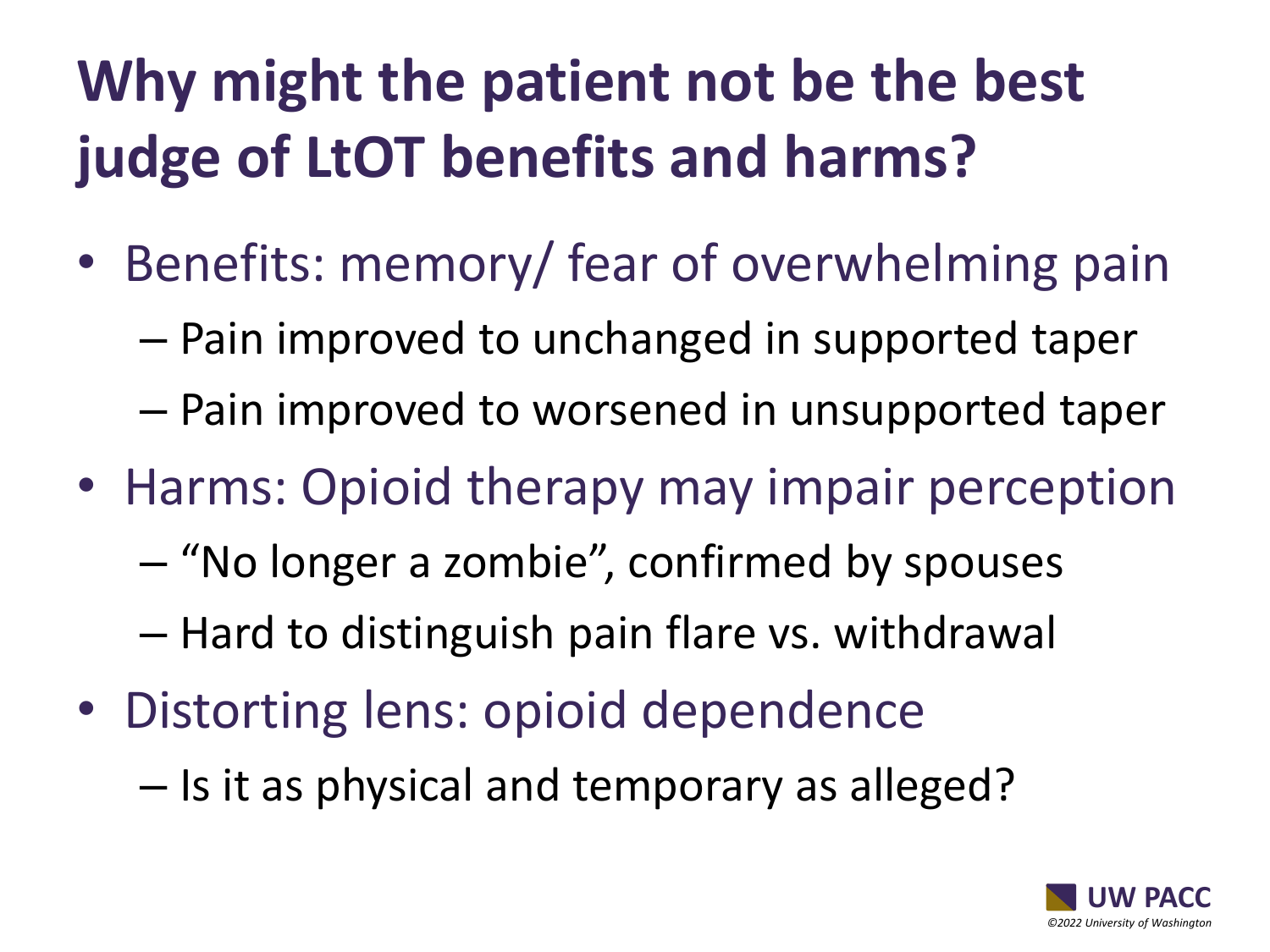### **Why might the patient not be the best judge of LtOT benefits and harms?**

- Benefits: memory/ fear of overwhelming pain
	- Pain improved to unchanged in supported taper
	- Pain improved to worsened in unsupported taper
- Harms: Opioid therapy may impair perception
	- "No longer a zombie", confirmed by spouses
	- Hard to distinguish pain flare vs. withdrawal
- Distorting lens: opioid dependence
	- Is it as physical and temporary as alleged?

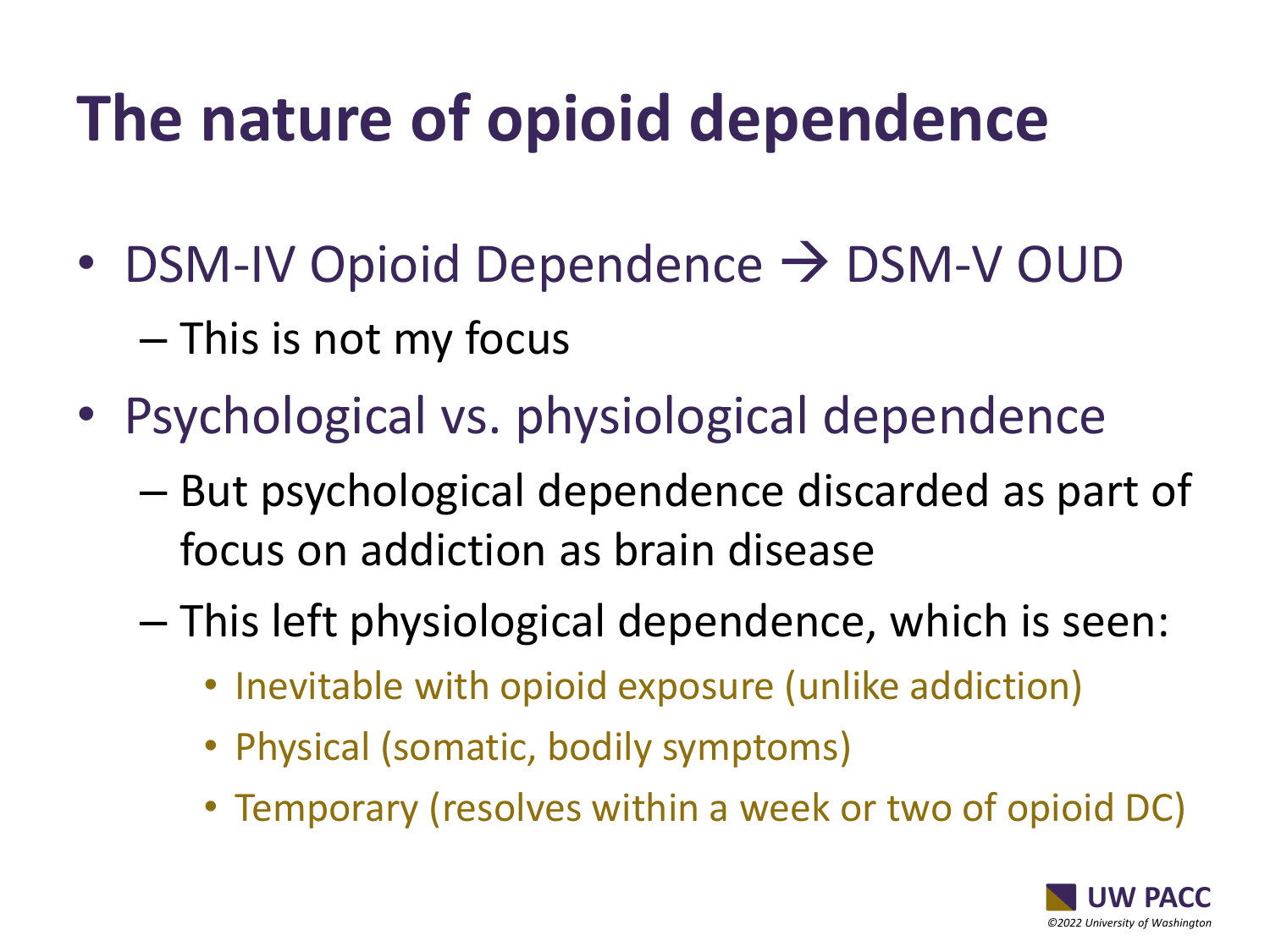## **The nature of opioid dependence**

- DSM-IV Opioid Dependence  $\rightarrow$  DSM-V OUD – This is not my focus
- Psychological vs. physiological dependence
	- But psychological dependence discarded as part of focus on addiction as brain disease
	- This left physiological dependence, which is seen:
		- Inevitable with opioid exposure (unlike addiction)
		- Physical (somatic, bodily symptoms)
		- Temporary (resolves within a week or two of opioid DC)

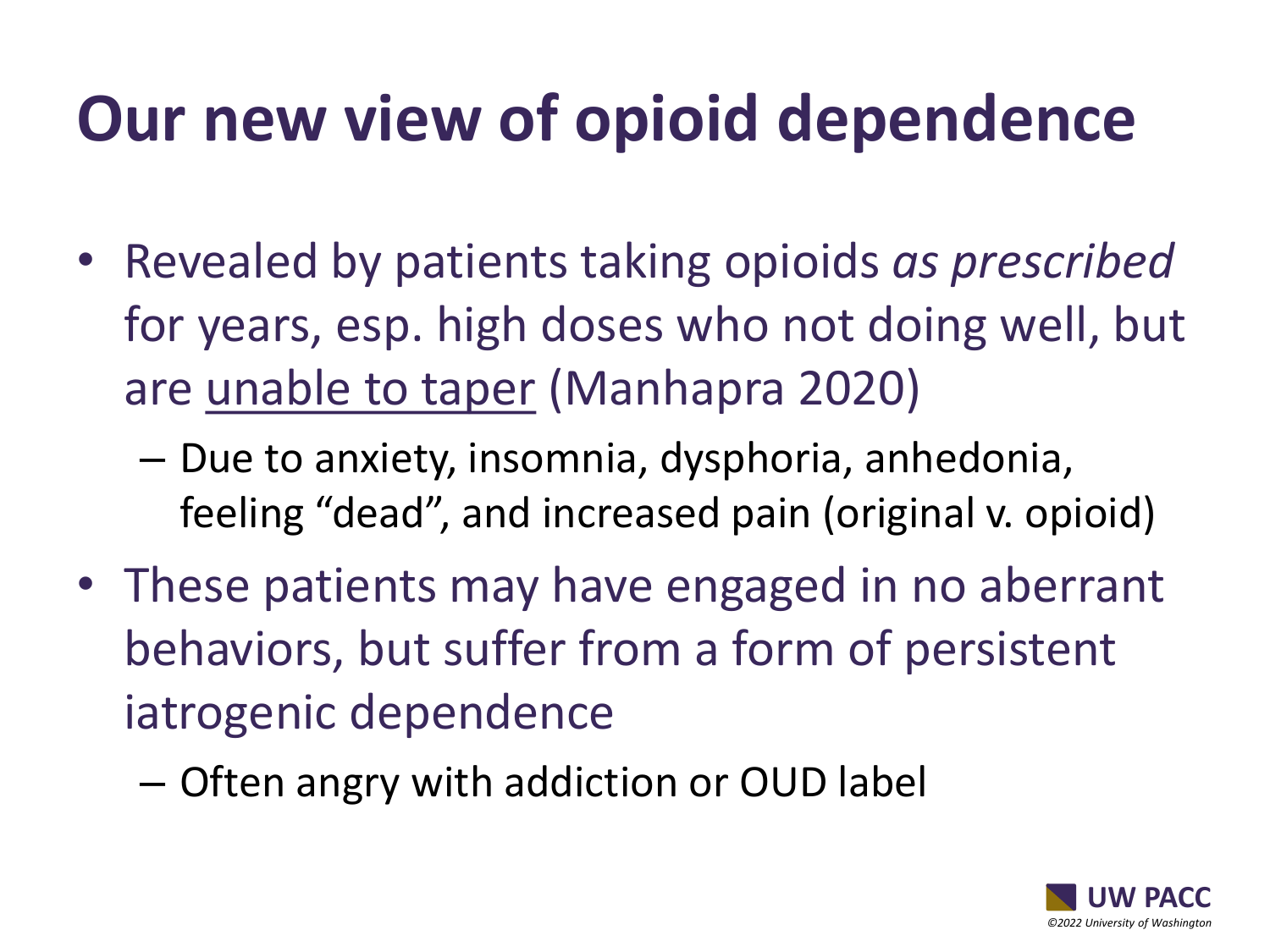### **Our new view of opioid dependence**

- Revealed by patients taking opioids *as prescribed*  for years, esp. high doses who not doing well, but are unable to taper (Manhapra 2020)
	- Due to anxiety, insomnia, dysphoria, anhedonia, feeling "dead", and increased pain (original v. opioid)
- These patients may have engaged in no aberrant behaviors, but suffer from a form of persistent iatrogenic dependence
	- Often angry with addiction or OUD label

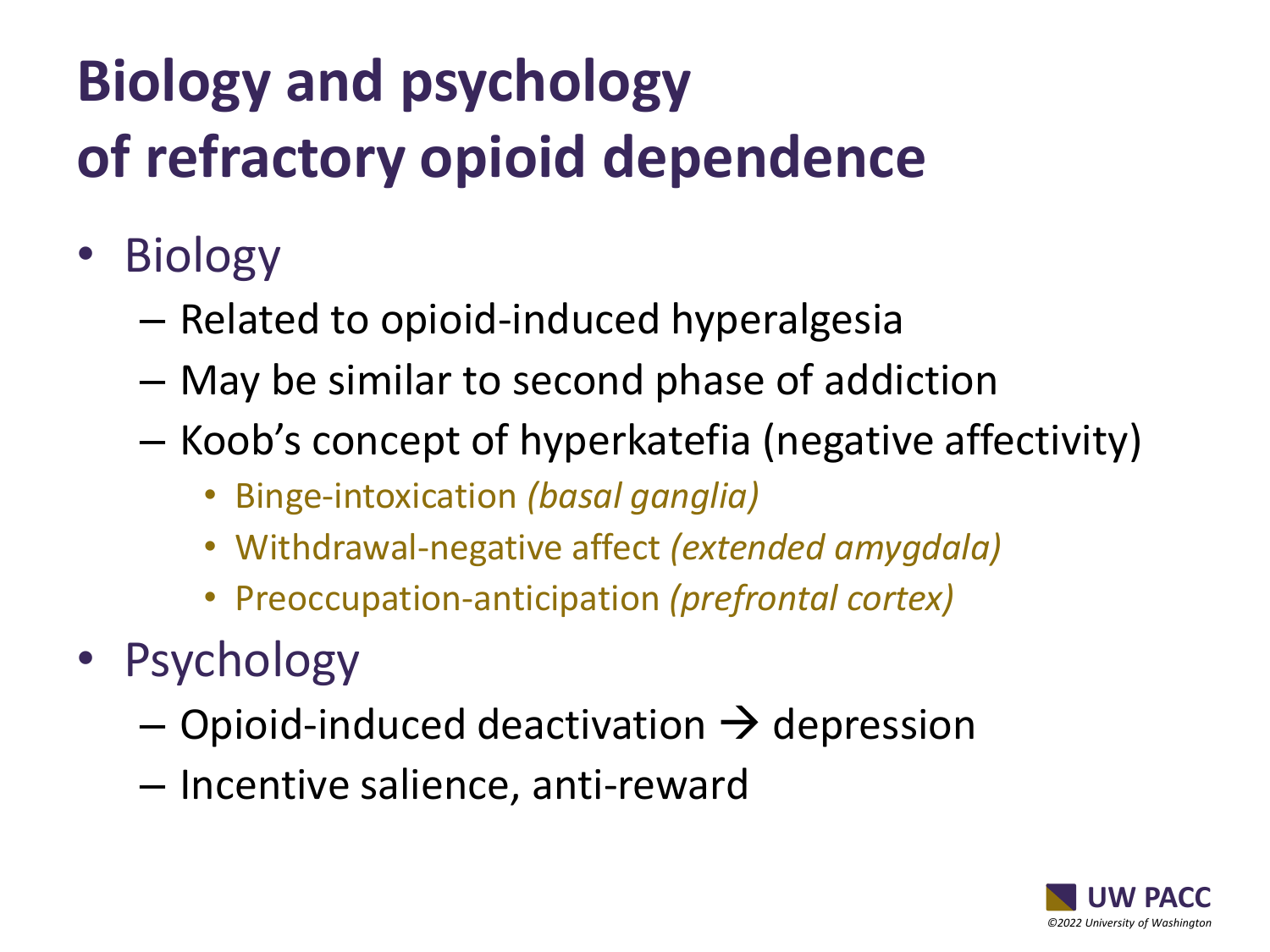## **Biology and psychology of refractory opioid dependence**

- Biology
	- Related to opioid-induced hyperalgesia
	- May be similar to second phase of addiction
	- Koob's concept of hyperkatefia (negative affectivity)
		- Binge-intoxication *(basal ganglia)*
		- Withdrawal-negative affect *(extended amygdala)*
		- Preoccupation-anticipation *(prefrontal cortex)*
- Psychology
	- $-$  Opioid-induced deactivation  $\rightarrow$  depression
	- Incentive salience, anti-reward

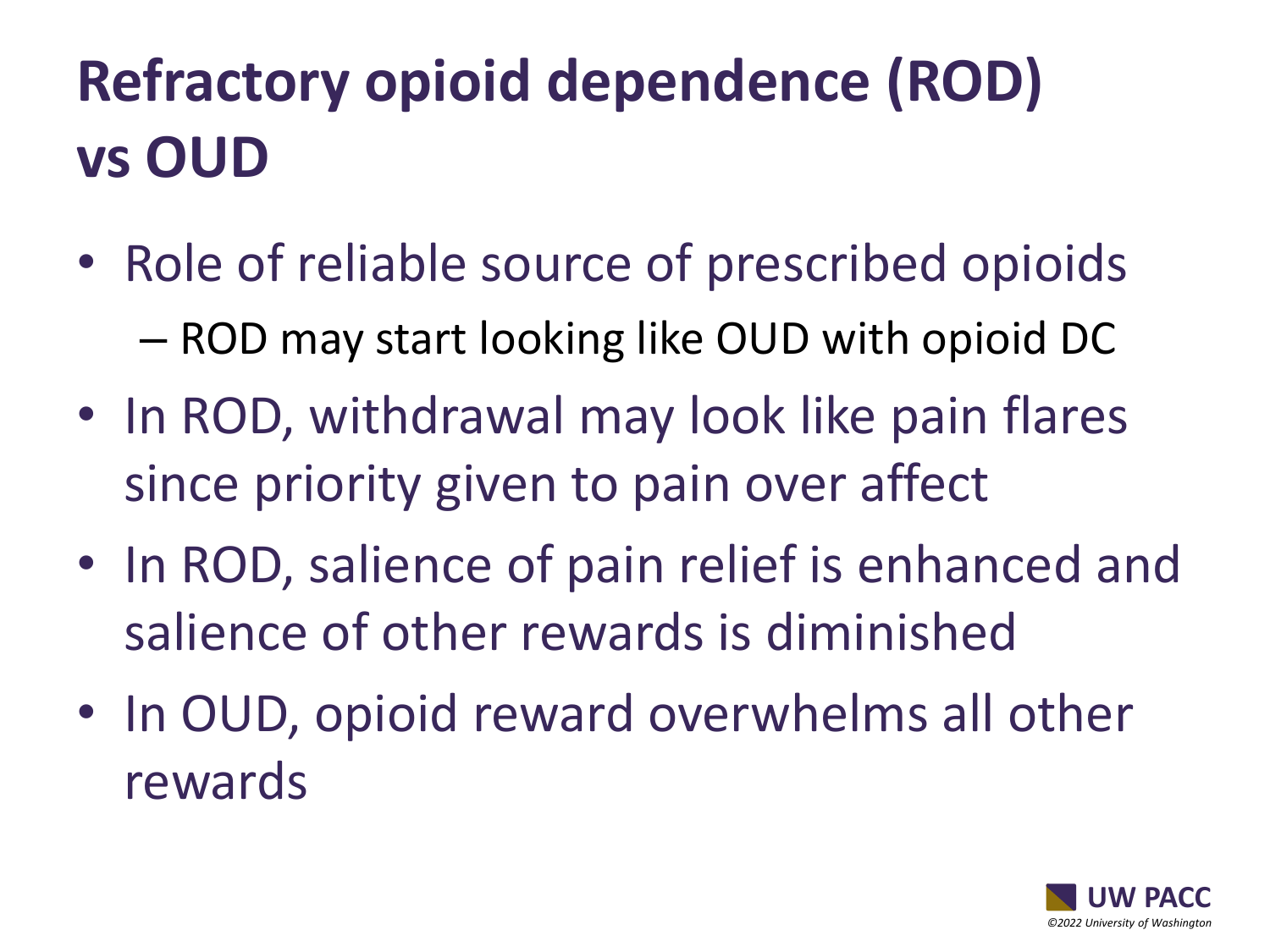### **Refractory opioid dependence (ROD) vs OUD**

- Role of reliable source of prescribed opioids – ROD may start looking like OUD with opioid DC
- In ROD, withdrawal may look like pain flares since priority given to pain over affect
- In ROD, salience of pain relief is enhanced and salience of other rewards is diminished
- In OUD, opioid reward overwhelms all other rewards

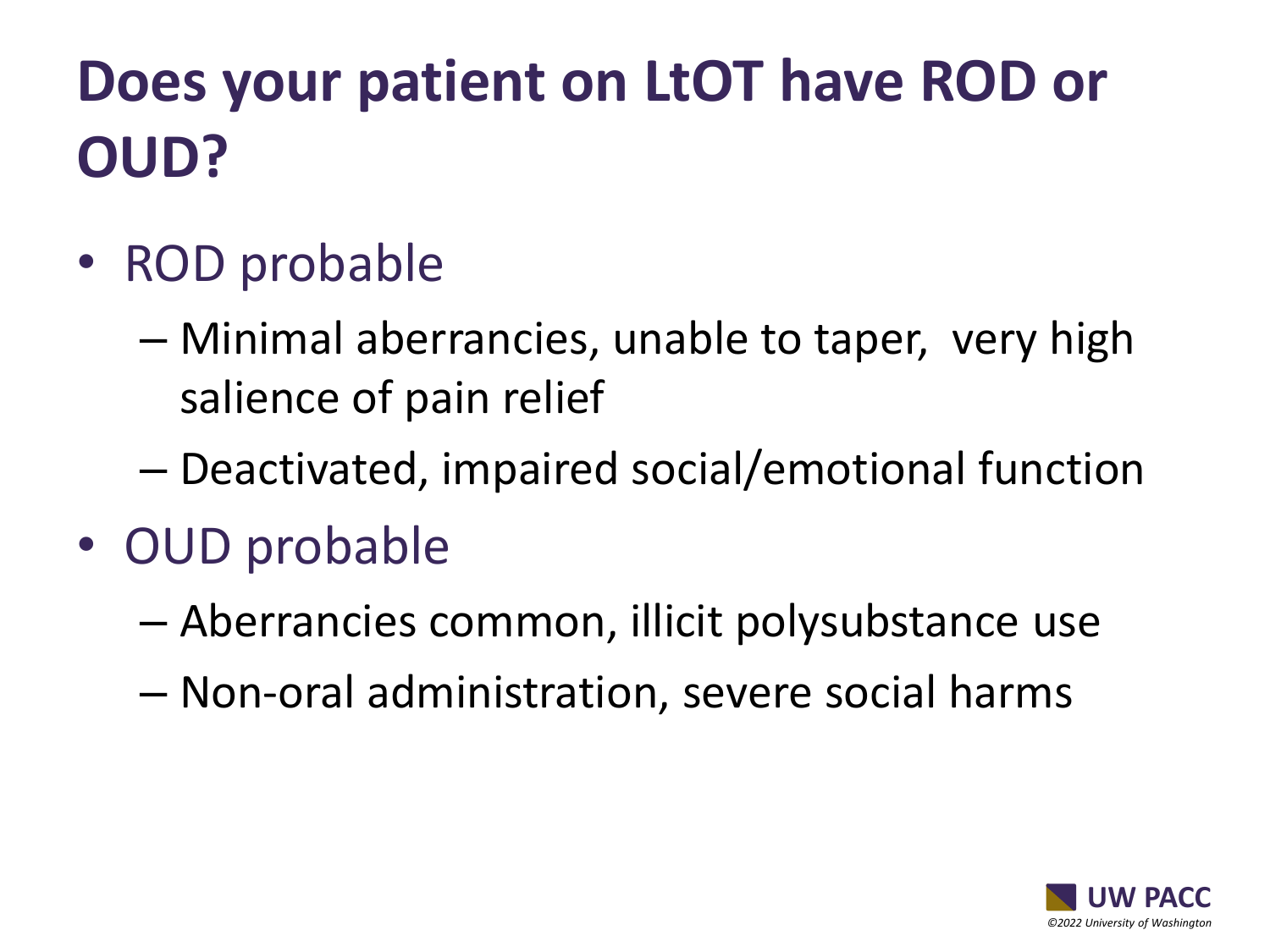### **Does your patient on LtOT have ROD or OUD?**

- ROD probable
	- Minimal aberrancies, unable to taper, very high salience of pain relief
	- Deactivated, impaired social/emotional function
- OUD probable
	- Aberrancies common, illicit polysubstance use
	- Non-oral administration, severe social harms